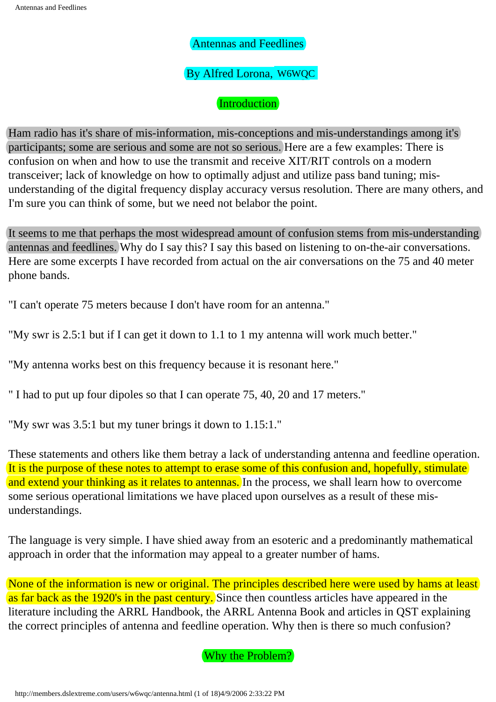### By Alfred Lorona, w6wqc

### Introduction

Ham radio has it's share of mis-information, mis-conceptions and mis-understandings among it's participants; some are serious and some are not so serious. Here are a few examples: There is confusion on when and how to use the transmit and receive XIT/RIT controls on a modern transceiver; lack of knowledge on how to optimally adjust and utilize pass band tuning; misunderstanding of the digital frequency display accuracy versus resolution. There are many others, and I'm sure you can think of some, but we need not belabor the point. (By Alfred Lorona, **WAWQC**<br>(Introduction)<br>(Introduction)<br>ministers come are serious and some are not so serious. Here a<br>mistorion on when and how to use the transmit und receive NTF/ser<br>andsceiver: lack of knowledge on how

It seems to me that perhaps the most widespread amount of confusion stems from mis-understanding antennas and feedlines. Why do I say this? I say this based on listening to on-the-air conversations. Here are some excerpts I have recorded from actual on the air conversations on the 75 and 40 meter phone bands.

"I can't operate 75 meters because I don't have room for an antenna."

"My swr is 2.5:1 but if I can get it down to 1.1 to 1 my antenna will work much better."

"My antenna works best on this frequency because it is resonant here."

" I had to put up four dipoles so that I can operate 75, 40, 20 and 17 meters."

"My swr was 3.5:1 but my tuner brings it down to 1.15:1."

These statements and others like them betray a lack of understanding antenna and feedline operation. It is the purpose of these notes to attempt to erase some of this confusion and, hopefully, stimulate and extend your thinking as it relates to antennas. In the process, we shall learn how to overcome some serious operational limitations we have placed upon ourselves as a result of these misunderstandings.

The language is very simple. I have shied away from an esoteric and a predominantly mathematical approach in order that the information may appeal to a greater number of hams.

None of the information is new or original. The principles described here were used by hams at least as far back as the 1920's in the past century. Since then countless articles have appeared in the literature including the ARRL Handbook, the ARRL Antenna Book and articles in QST explaining the correct principles of antenna and feedline operation. Why then is there so much confusion?

Why the Problem?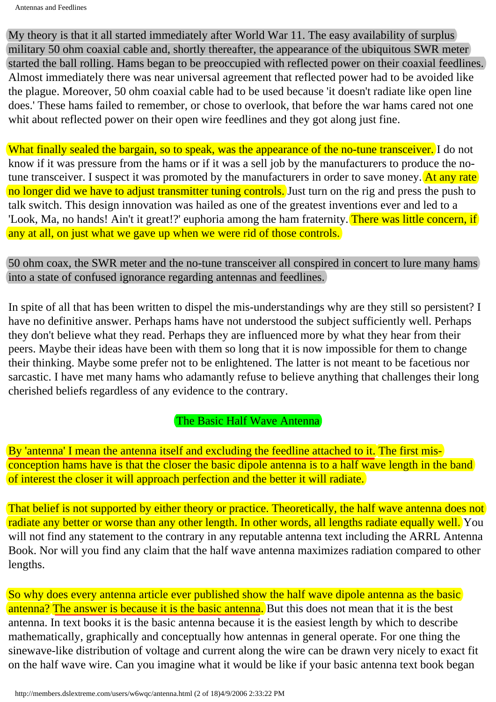My theory is that it all started immediately after World War 11. The easy availability of surplus military 50 ohm coaxial cable and, shortly thereafter, the appearance of the ubiquitous SWR meter started the ball rolling. Hams began to be preoccupied with reflected power on their coaxial feedlines. Almost immediately there was near universal agreement that reflected power had to be avoided like the plague. Moreover, 50 ohm coaxial cable had to be used because 'it doesn't radiate like open line does.' These hams failed to remember, or chose to overlook, that before the war hams cared not one whit about reflected power on their open wire feedlines and they got along just fine.

What finally sealed the bargain, so to speak, was the appearance of the no-tune transceiver. I do not know if it was pressure from the hams or if it was a sell job by the manufacturers to produce the notune transceiver. I suspect it was promoted by the manufacturers in order to save money. At any rate no longer did we have to adjust transmitter tuning controls. Just turn on the rig and press the push to talk switch. This design innovation was hailed as one of the greatest inventions ever and led to a 'Look, Ma, no hands! Ain't it great!?' euphoria among the ham fraternity. There was little concern, if any at all, on just what we gave up when we were rid of those controls.

50 ohm coax, the SWR meter and the no-tune transceiver all conspired in concert to lure many hams into a state of confused ignorance regarding antennas and feedlines.

In spite of all that has been written to dispel the mis-understandings why are they still so persistent? I have no definitive answer. Perhaps hams have not understood the subject sufficiently well. Perhaps they don't believe what they read. Perhaps they are influenced more by what they hear from their peers. Maybe their ideas have been with them so long that it is now impossible for them to change their thinking. Maybe some prefer not to be enlightened. The latter is not meant to be facetious nor sarcastic. I have met many hams who adamantly refuse to believe anything that challenges their long cherished beliefs regardless of any evidence to the contrary.

The Basic Half Wave Antenna

By 'antenna' I mean the antenna itself and excluding the feedline attached to it. The first misconception hams have is that the closer the basic dipole antenna is to a half wave length in the band of interest the closer it will approach perfection and the better it will radiate.

That belief is not supported by either theory or practice. Theoretically, the half wave antenna does not radiate any better or worse than any other length. In other words, all lengths radiate equally well. You will not find any statement to the contrary in any reputable antenna text including the ARRL Antenna Book. Nor will you find any claim that the half wave antenna maximizes radiation compared to other lengths.

So why does every antenna article ever published show the half wave dipole antenna as the basic antenna? The answer is because it is the basic antenna. But this does not mean that it is the best antenna. In text books it is the basic antenna because it is the easiest length by which to describe mathematically, graphically and conceptually how antennas in general operate. For one thing the sinewave-like distribution of voltage and current along the wire can be drawn very nicely to exact fit on the half wave wire. Can you imagine what it would be like if your basic antenna text book began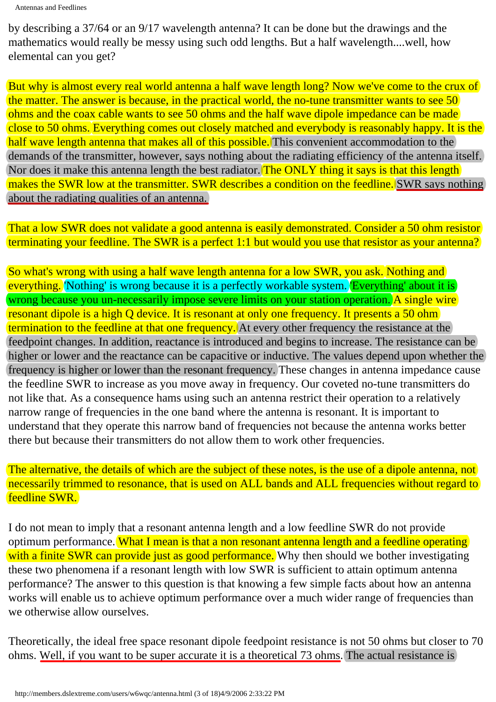by describing a 37/64 or an 9/17 wavelength antenna? It can be done but the drawings and the mathematics would really be messy using such odd lengths. But a half wavelength....well, how elemental can you get?

But why is almost every real world antenna a half wave length long? Now we've come to the crux of the matter. The answer is because, in the practical world, the no-tune transmitter wants to see 50 ohms and the coax cable wants to see 50 ohms and the half wave dipole impedance can be made close to 50 ohms. Everything comes out closely matched and everybody is reasonably happy. It is the half wave length antenna that makes all of this possible. This convenient accommodation to the demands of the transmitter, however, says nothing about the radiating efficiency of the antenna itself. Nor does it make this antenna length the best radiator. The ONLY thing it says is that this length makes the SWR low at the transmitter. SWR describes a condition on the feedline. SWR says nothing about the radiating qualities of an antenna.

That a low SWR does not validate a good antenna is easily demonstrated. Consider a 50 ohm resistor terminating your feedline. The SWR is a perfect 1:1 but would you use that resistor as your antenna?

So what's wrong with using a half wave length antenna for a low SWR, you ask. Nothing and everything. Nothing' is wrong because it is a perfectly workable system. Everything' about it is wrong because you un-necessarily impose severe limits on your station operation. A single wire resonant dipole is a high Q device. It is resonant at only one frequency. It presents a 50 ohm termination to the feedline at that one frequency. At every other frequency the resistance at the feedpoint changes. In addition, reactance is introduced and begins to increase. The resistance can be higher or lower and the reactance can be capacitive or inductive. The values depend upon whether the frequency is higher or lower than the resonant frequency. These changes in antenna impedance cause the feedline SWR to increase as you move away in frequency. Our coveted no-tune transmitters do not like that. As a consequence hams using such an antenna restrict their operation to a relatively narrow range of frequencies in the one band where the antenna is resonant. It is important to understand that they operate this narrow band of frequencies not because the antenna works better there but because their transmitters do not allow them to work other frequencies.

The alternative, the details of which are the subject of these notes, is the use of a dipole antenna, not necessarily trimmed to resonance, that is used on ALL bands and ALL frequencies without regard to feedline SWR.

I do not mean to imply that a resonant antenna length and a low feedline SWR do not provide optimum performance. What I mean is that a non resonant antenna length and a feedline operating with a finite SWR can provide just as good performance. Why then should we bother investigating these two phenomena if a resonant length with low SWR is sufficient to attain optimum antenna performance? The answer to this question is that knowing a few simple facts about how an antenna works will enable us to achieve optimum performance over a much wider range of frequencies than we otherwise allow ourselves.

Theoretically, the ideal free space resonant dipole feedpoint resistance is not 50 ohms but closer to 70 ohms. Well, if you want to be super accurate it is a theoretical 73 ohms. The actual resistance is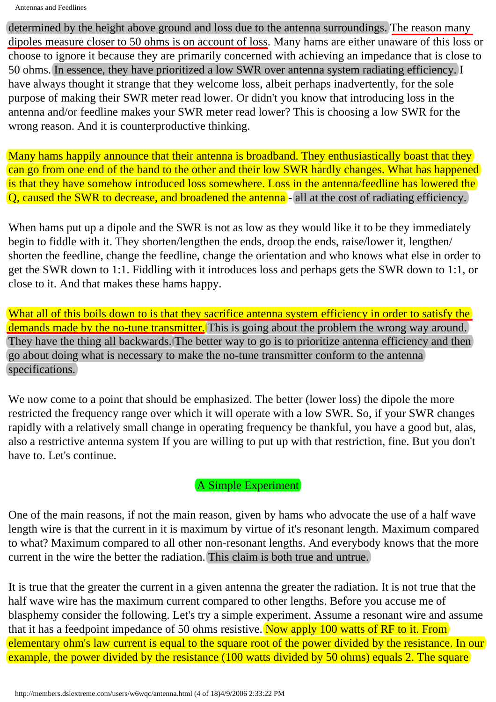determined by the height above ground and loss due to the antenna surroundings. The reason many dipoles measure closer to 50 ohms is on account of loss. Many hams are either unaware of this loss or choose to ignore it because they are primarily concerned with achieving an impedance that is close to 50 ohms. In essence, they have prioritized a low SWR over antenna system radiating efficiency. I have always thought it strange that they welcome loss, albeit perhaps inadvertently, for the sole purpose of making their SWR meter read lower. Or didn't you know that introducing loss in the antenna and/or feedline makes your SWR meter read lower? This is choosing a low SWR for the wrong reason. And it is counterproductive thinking.

Many hams happily announce that their antenna is broadband. They enthusiastically boast that they can go from one end of the band to the other and their low SWR hardly changes. What has happened is that they have somehow introduced loss somewhere. Loss in the antenna/feedline has lowered the  $Q$ , caused the SWR to decrease, and broadened the antenna  $\frac{1}{2}$  all at the cost of radiating efficiency.

When hams put up a dipole and the SWR is not as low as they would like it to be they immediately begin to fiddle with it. They shorten/lengthen the ends, droop the ends, raise/lower it, lengthen/ shorten the feedline, change the feedline, change the orientation and who knows what else in order to get the SWR down to 1:1. Fiddling with it introduces loss and perhaps gets the SWR down to 1:1, or close to it. And that makes these hams happy.

What all of this boils down to is that they sacrifice antenna system efficiency in order to satisfy the demands made by the no-tune transmitter. This is going about the problem the wrong way around.) They have the thing all backwards. The better way to go is to prioritize antenna efficiency and then go about doing what is necessary to make the no-tune transmitter conform to the antenna specifications.

We now come to a point that should be emphasized. The better (lower loss) the dipole the more restricted the frequency range over which it will operate with a low SWR. So, if your SWR changes rapidly with a relatively small change in operating frequency be thankful, you have a good but, alas, also a restrictive antenna system If you are willing to put up with that restriction, fine. But you don't have to. Let's continue.

## A Simple Experiment

One of the main reasons, if not the main reason, given by hams who advocate the use of a half wave length wire is that the current in it is maximum by virtue of it's resonant length. Maximum compared to what? Maximum compared to all other non-resonant lengths. And everybody knows that the more current in the wire the better the radiation. This claim is both true and untrue.

It is true that the greater the current in a given antenna the greater the radiation. It is not true that the half wave wire has the maximum current compared to other lengths. Before you accuse me of blasphemy consider the following. Let's try a simple experiment. Assume a resonant wire and assume that it has a feedpoint impedance of 50 ohms resistive. Now apply 100 watts of RF to it. From elementary ohm's law current is equal to the square root of the power divided by the resistance. In our example, the power divided by the resistance (100 watts divided by 50 ohms) equals 2. The square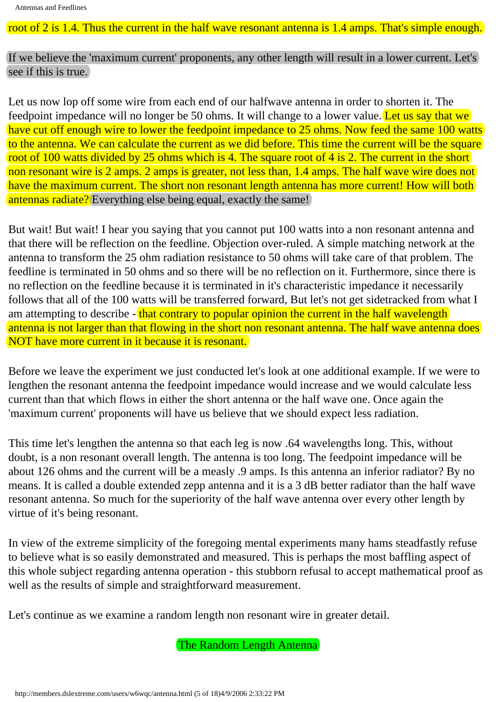root of 2 is 1.4. Thus the current in the half wave resonant antenna is 1.4 amps. That's simple enough.

If we believe the 'maximum current' proponents, any other length will result in a lower current. Let's see if this is true.

Let us now lop off some wire from each end of our halfwave antenna in order to shorten it. The feedpoint impedance will no longer be 50 ohms. It will change to a lower value. Let us say that we have cut off enough wire to lower the feedpoint impedance to 25 ohms. Now feed the same 100 watts to the antenna. We can calculate the current as we did before. This time the current will be the square root of 100 watts divided by 25 ohms which is 4. The square root of 4 is 2. The current in the short non resonant wire is 2 amps. 2 amps is greater, not less than, 1.4 amps. The half wave wire does not have the maximum current. The short non resonant length antenna has more current! How will both antennas radiate? Everything else being equal, exactly the same!

But wait! But wait! I hear you saying that you cannot put 100 watts into a non resonant antenna and that there will be reflection on the feedline. Objection over-ruled. A simple matching network at the antenna to transform the 25 ohm radiation resistance to 50 ohms will take care of that problem. The feedline is terminated in 50 ohms and so there will be no reflection on it. Furthermore, since there is no reflection on the feedline because it is terminated in it's characteristic impedance it necessarily follows that all of the 100 watts will be transferred forward, But let's not get sidetracked from what I am attempting to describe - that contrary to popular opinion the current in the half wavelength antenna is not larger than that flowing in the short non resonant antenna. The half wave antenna does NOT have more current in it because it is resonant.

Before we leave the experiment we just conducted let's look at one additional example. If we were to lengthen the resonant antenna the feedpoint impedance would increase and we would calculate less current than that which flows in either the short antenna or the half wave one. Once again the 'maximum current' proponents will have us believe that we should expect less radiation.

This time let's lengthen the antenna so that each leg is now .64 wavelengths long. This, without doubt, is a non resonant overall length. The antenna is too long. The feedpoint impedance will be about 126 ohms and the current will be a measly .9 amps. Is this antenna an inferior radiator? By no means. It is called a double extended zepp antenna and it is a 3 dB better radiator than the half wave resonant antenna. So much for the superiority of the half wave antenna over every other length by virtue of it's being resonant.

In view of the extreme simplicity of the foregoing mental experiments many hams steadfastly refuse to believe what is so easily demonstrated and measured. This is perhaps the most baffling aspect of this whole subject regarding antenna operation - this stubborn refusal to accept mathematical proof as well as the results of simple and straightforward measurement.

Let's continue as we examine a random length non resonant wire in greater detail.

The Random Length Antenna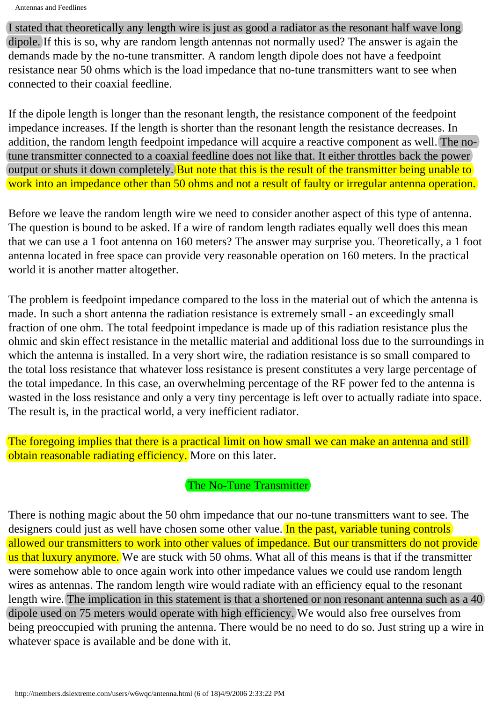I stated that theoretically any length wire is just as good a radiator as the resonant half wave long dipole. If this is so, why are random length antennas not normally used? The answer is again the demands made by the no-tune transmitter. A random length dipole does not have a feedpoint resistance near 50 ohms which is the load impedance that no-tune transmitters want to see when connected to their coaxial feedline.

If the dipole length is longer than the resonant length, the resistance component of the feedpoint impedance increases. If the length is shorter than the resonant length the resistance decreases. In addition, the random length feedpoint impedance will acquire a reactive component as well. The notune transmitter connected to a coaxial feedline does not like that. It either throttles back the power output or shuts it down completely. But note that this is the result of the transmitter being unable to work into an impedance other than 50 ohms and not a result of faulty or irregular antenna operation.

Before we leave the random length wire we need to consider another aspect of this type of antenna. The question is bound to be asked. If a wire of random length radiates equally well does this mean that we can use a 1 foot antenna on 160 meters? The answer may surprise you. Theoretically, a 1 foot antenna located in free space can provide very reasonable operation on 160 meters. In the practical world it is another matter altogether.

The problem is feedpoint impedance compared to the loss in the material out of which the antenna is made. In such a short antenna the radiation resistance is extremely small - an exceedingly small fraction of one ohm. The total feedpoint impedance is made up of this radiation resistance plus the ohmic and skin effect resistance in the metallic material and additional loss due to the surroundings in which the antenna is installed. In a very short wire, the radiation resistance is so small compared to the total loss resistance that whatever loss resistance is present constitutes a very large percentage of the total impedance. In this case, an overwhelming percentage of the RF power fed to the antenna is wasted in the loss resistance and only a very tiny percentage is left over to actually radiate into space. The result is, in the practical world, a very inefficient radiator.

The foregoing implies that there is a practical limit on how small we can make an antenna and still obtain reasonable radiating efficiency. More on this later.

The No-Tune Transmitter

There is nothing magic about the 50 ohm impedance that our no-tune transmitters want to see. The designers could just as well have chosen some other value. In the past, variable tuning controls allowed our transmitters to work into other values of impedance. But our transmitters do not provide us that luxury anymore. We are stuck with 50 ohms. What all of this means is that if the transmitter were somehow able to once again work into other impedance values we could use random length wires as antennas. The random length wire would radiate with an efficiency equal to the resonant length wire. The implication in this statement is that a shortened or non resonant antenna such as a  $40$ dipole used on 75 meters would operate with high efficiency. We would also free ourselves from being preoccupied with pruning the antenna. There would be no need to do so. Just string up a wire in whatever space is available and be done with it.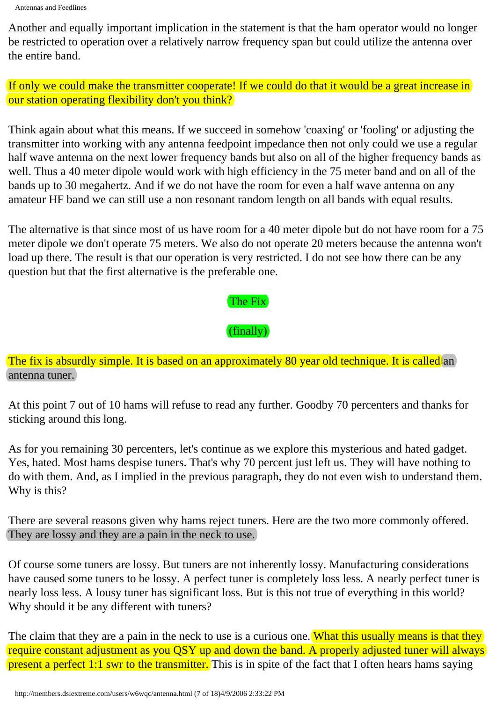```
Antennas and Feedlines
```
Another and equally important implication in the statement is that the ham operator would no longer be restricted to operation over a relatively narrow frequency span but could utilize the antenna over the entire band.

If only we could make the transmitter cooperate! If we could do that it would be a great increase in our station operating flexibility don't you think?

Think again about what this means. If we succeed in somehow 'coaxing' or 'fooling' or adjusting the transmitter into working with any antenna feedpoint impedance then not only could we use a regular half wave antenna on the next lower frequency bands but also on all of the higher frequency bands as well. Thus a 40 meter dipole would work with high efficiency in the 75 meter band and on all of the bands up to 30 megahertz. And if we do not have the room for even a half wave antenna on any amateur HF band we can still use a non resonant random length on all bands with equal results.

The alternative is that since most of us have room for a 40 meter dipole but do not have room for a 75 meter dipole we don't operate 75 meters. We also do not operate 20 meters because the antenna won't load up there. The result is that our operation is very restricted. I do not see how there can be any question but that the first alternative is the preferable one.

# The Fix

 $(finally)$ 

The fix is absurdly simple. It is based on an approximately 80 year old technique. It is called an antenna tuner.

At this point 7 out of 10 hams will refuse to read any further. Goodby 70 percenters and thanks for sticking around this long.

As for you remaining 30 percenters, let's continue as we explore this mysterious and hated gadget. Yes, hated. Most hams despise tuners. That's why 70 percent just left us. They will have nothing to do with them. And, as I implied in the previous paragraph, they do not even wish to understand them. Why is this?

There are several reasons given why hams reject tuners. Here are the two more commonly offered. They are lossy and they are a pain in the neck to use.

Of course some tuners are lossy. But tuners are not inherently lossy. Manufacturing considerations have caused some tuners to be lossy. A perfect tuner is completely loss less. A nearly perfect tuner is nearly loss less. A lousy tuner has significant loss. But is this not true of everything in this world? Why should it be any different with tuners?

The claim that they are a pain in the neck to use is a curious one. What this usually means is that they require constant adjustment as you QSY up and down the band. A properly adjusted tuner will always present a perfect 1:1 swr to the transmitter. This is in spite of the fact that I often hears hams saying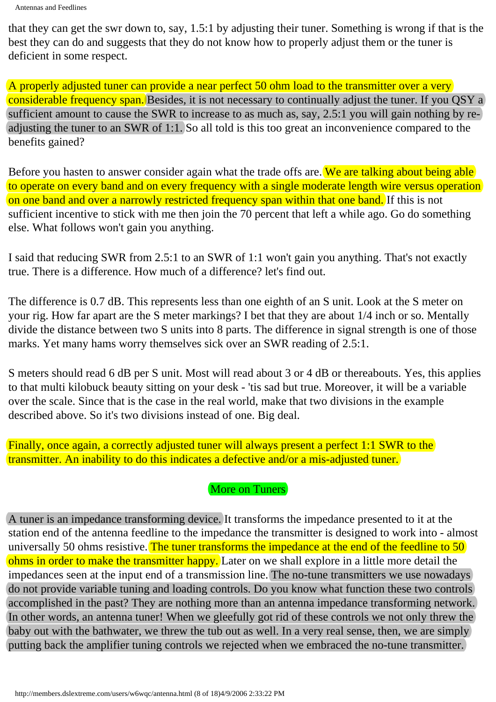```
Antennas and Feedlines
```
that they can get the swr down to, say, 1.5:1 by adjusting their tuner. Something is wrong if that is the best they can do and suggests that they do not know how to properly adjust them or the tuner is deficient in some respect.

A properly adjusted tuner can provide a near perfect 50 ohm load to the transmitter over a very considerable frequency span. Besides, it is not necessary to continually adjust the tuner. If you QSY a) sufficient amount to cause the SWR to increase to as much as, say, 2.5:1 you will gain nothing by readjusting the tuner to an SWR of 1:1. So all told is this too great an inconvenience compared to the benefits gained?

Before you hasten to answer consider again what the trade offs are. We are talking about being able to operate on every band and on every frequency with a single moderate length wire versus operation on one band and over a narrowly restricted frequency span within that one band. If this is not sufficient incentive to stick with me then join the 70 percent that left a while ago. Go do something else. What follows won't gain you anything.

I said that reducing SWR from 2.5:1 to an SWR of 1:1 won't gain you anything. That's not exactly true. There is a difference. How much of a difference? let's find out.

The difference is 0.7 dB. This represents less than one eighth of an S unit. Look at the S meter on your rig. How far apart are the S meter markings? I bet that they are about 1/4 inch or so. Mentally divide the distance between two S units into 8 parts. The difference in signal strength is one of those marks. Yet many hams worry themselves sick over an SWR reading of 2.5:1.

S meters should read 6 dB per S unit. Most will read about 3 or 4 dB or thereabouts. Yes, this applies to that multi kilobuck beauty sitting on your desk - 'tis sad but true. Moreover, it will be a variable over the scale. Since that is the case in the real world, make that two divisions in the example described above. So it's two divisions instead of one. Big deal.

Finally, once again, a correctly adjusted tuner will always present a perfect 1:1 SWR to the transmitter. An inability to do this indicates a defective and/or a mis-adjusted tuner.

More on Tuners

A tuner is an impedance transforming device. It transforms the impedance presented to it at the station end of the antenna feedline to the impedance the transmitter is designed to work into - almost universally 50 ohms resistive. The tuner transforms the impedance at the end of the feedline to 50 ohms in order to make the transmitter happy. Later on we shall explore in a little more detail the impedances seen at the input end of a transmission line. The no-tune transmitters we use nowadays do not provide variable tuning and loading controls. Do you know what function these two controls accomplished in the past? They are nothing more than an antenna impedance transforming network. In other words, an antenna tuner! When we gleefully got rid of these controls we not only threw the baby out with the bathwater, we threw the tub out as well. In a very real sense, then, we are simply putting back the amplifier tuning controls we rejected when we embraced the no-tune transmitter.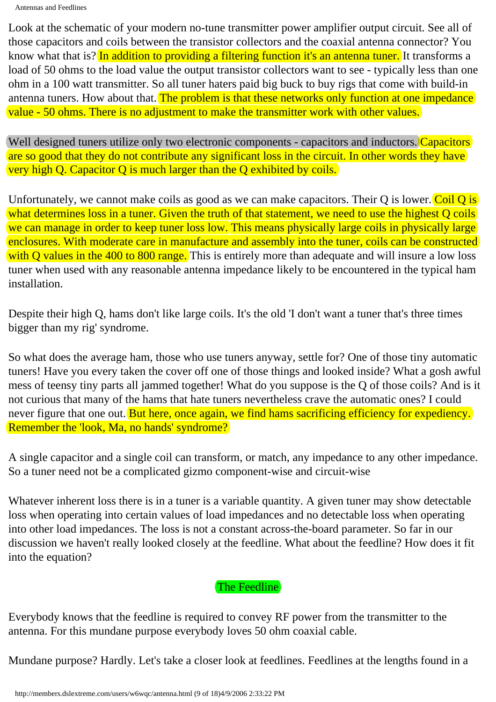Look at the schematic of your modern no-tune transmitter power amplifier output circuit. See all of those capacitors and coils between the transistor collectors and the coaxial antenna connector? You know what that is? In addition to providing a filtering function it's an antenna tuner. It transforms a load of 50 ohms to the load value the output transistor collectors want to see - typically less than one ohm in a 100 watt transmitter. So all tuner haters paid big buck to buy rigs that come with build-in antenna tuners. How about that. The problem is that these networks only function at one impedance value - 50 ohms. There is no adjustment to make the transmitter work with other values.

Well designed tuners utilize only two electronic components - capacitors and inductors. Capacitors are so good that they do not contribute any significant loss in the circuit. In other words they have very high Q. Capacitor Q is much larger than the Q exhibited by coils.

Unfortunately, we cannot make coils as good as we can make capacitors. Their Q is lower. Coil Q is what determines loss in a tuner. Given the truth of that statement, we need to use the highest Q coils we can manage in order to keep tuner loss low. This means physically large coils in physically large enclosures. With moderate care in manufacture and assembly into the tuner, coils can be constructed with Q values in the 400 to 800 range. This is entirely more than adequate and will insure a low loss tuner when used with any reasonable antenna impedance likely to be encountered in the typical ham installation.

Despite their high Q, hams don't like large coils. It's the old 'I don't want a tuner that's three times bigger than my rig' syndrome.

So what does the average ham, those who use tuners anyway, settle for? One of those tiny automatic tuners! Have you every taken the cover off one of those things and looked inside? What a gosh awful mess of teensy tiny parts all jammed together! What do you suppose is the Q of those coils? And is it not curious that many of the hams that hate tuners nevertheless crave the automatic ones? I could never figure that one out. But here, once again, we find hams sacrificing efficiency for expediency. Remember the 'look, Ma, no hands' syndrome?

A single capacitor and a single coil can transform, or match, any impedance to any other impedance. So a tuner need not be a complicated gizmo component-wise and circuit-wise

Whatever inherent loss there is in a tuner is a variable quantity. A given tuner may show detectable loss when operating into certain values of load impedances and no detectable loss when operating into other load impedances. The loss is not a constant across-the-board parameter. So far in our discussion we haven't really looked closely at the feedline. What about the feedline? How does it fit into the equation?

The Feedline

Everybody knows that the feedline is required to convey RF power from the transmitter to the antenna. For this mundane purpose everybody loves 50 ohm coaxial cable.

Mundane purpose? Hardly. Let's take a closer look at feedlines. Feedlines at the lengths found in a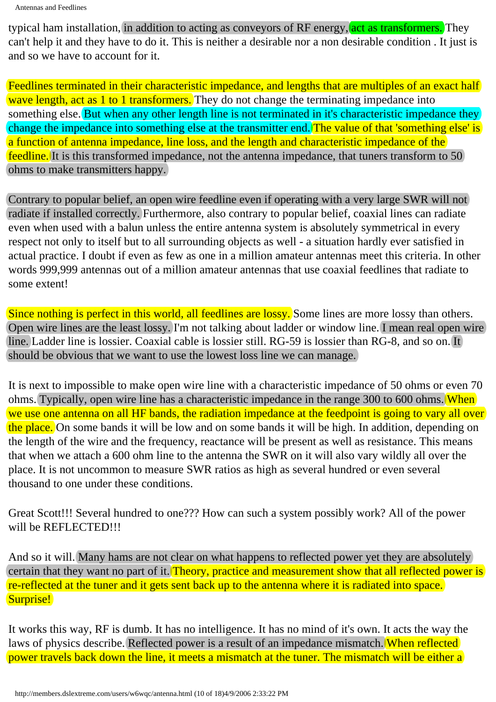Antennas and Feedlines

typical ham installation, in addition to acting as conveyors of RF energy, act as transformers. They can't help it and they have to do it. This is neither a desirable nor a non desirable condition . It just is and so we have to account for it.

Feedlines terminated in their characteristic impedance, and lengths that are multiples of an exact half wave length, act as 1 to 1 transformers. They do not change the terminating impedance into something else. But when any other length line is not terminated in it's characteristic impedance they change the impedance into something else at the transmitter end. The value of that 'something else' is a function of antenna impedance, line loss, and the length and characteristic impedance of the feedline. It is this transformed impedance, not the antenna impedance, that tuners transform to 50. ohms to make transmitters happy.

Contrary to popular belief, an open wire feedline even if operating with a very large SWR will not radiate if installed correctly. Furthermore, also contrary to popular belief, coaxial lines can radiate even when used with a balun unless the entire antenna system is absolutely symmetrical in every respect not only to itself but to all surrounding objects as well - a situation hardly ever satisfied in actual practice. I doubt if even as few as one in a million amateur antennas meet this criteria. In other words 999,999 antennas out of a million amateur antennas that use coaxial feedlines that radiate to some extent!

Since nothing is perfect in this world, all feedlines are lossy. Some lines are more lossy than others. Open wire lines are the least lossy. I'm not talking about ladder or window line. I mean real open wire line. Ladder line is lossier. Coaxial cable is lossier still. RG-59 is lossier than RG-8, and so on. It should be obvious that we want to use the lowest loss line we can manage.

It is next to impossible to make open wire line with a characteristic impedance of 50 ohms or even 70 ohms. Typically, open wire line has a characteristic impedance in the range 300 to 600 ohms. When we use one antenna on all HF bands, the radiation impedance at the feedpoint is going to vary all over the place. On some bands it will be low and on some bands it will be high. In addition, depending on the length of the wire and the frequency, reactance will be present as well as resistance. This means that when we attach a 600 ohm line to the antenna the SWR on it will also vary wildly all over the place. It is not uncommon to measure SWR ratios as high as several hundred or even several thousand to one under these conditions.

Great Scott!!! Several hundred to one??? How can such a system possibly work? All of the power will be REFLECTED!!!

And so it will. Many hams are not clear on what happens to reflected power yet they are absolutely certain that they want no part of it. Theory, practice and measurement show that all reflected power is re-reflected at the tuner and it gets sent back up to the antenna where it is radiated into space. Surprise!

It works this way, RF is dumb. It has no intelligence. It has no mind of it's own. It acts the way the laws of physics describe. Reflected power is a result of an impedance mismatch. When reflected power travels back down the line, it meets a mismatch at the tuner. The mismatch will be either a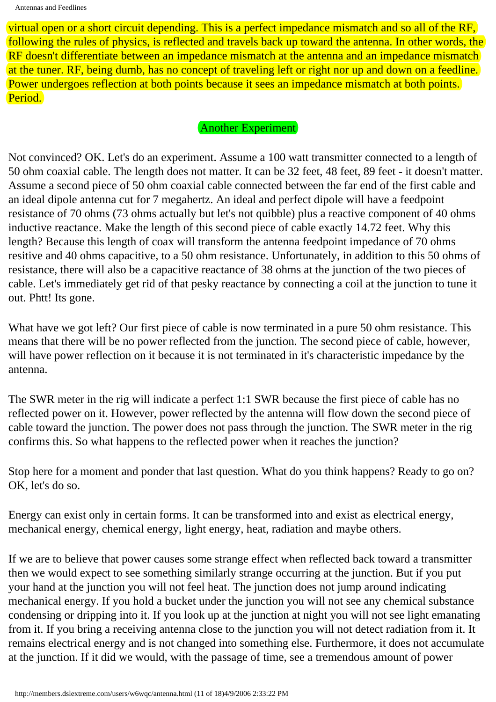virtual open or a short circuit depending. This is a perfect impedance mismatch and so all of the RF, following the rules of physics, is reflected and travels back up toward the antenna. In other words, the RF doesn't differentiate between an impedance mismatch at the antenna and an impedance mismatch at the tuner. RF, being dumb, has no concept of traveling left or right nor up and down on a feedline. Power undergoes reflection at both points because it sees an impedance mismatch at both points. Period.

### Another Experiment

Not convinced? OK. Let's do an experiment. Assume a 100 watt transmitter connected to a length of 50 ohm coaxial cable. The length does not matter. It can be 32 feet, 48 feet, 89 feet - it doesn't matter. Assume a second piece of 50 ohm coaxial cable connected between the far end of the first cable and an ideal dipole antenna cut for 7 megahertz. An ideal and perfect dipole will have a feedpoint resistance of 70 ohms (73 ohms actually but let's not quibble) plus a reactive component of 40 ohms inductive reactance. Make the length of this second piece of cable exactly 14.72 feet. Why this length? Because this length of coax will transform the antenna feedpoint impedance of 70 ohms resitive and 40 ohms capacitive, to a 50 ohm resistance. Unfortunately, in addition to this 50 ohms of resistance, there will also be a capacitive reactance of 38 ohms at the junction of the two pieces of cable. Let's immediately get rid of that pesky reactance by connecting a coil at the junction to tune it out. Phtt! Its gone.

What have we got left? Our first piece of cable is now terminated in a pure 50 ohm resistance. This means that there will be no power reflected from the junction. The second piece of cable, however, will have power reflection on it because it is not terminated in it's characteristic impedance by the antenna.

The SWR meter in the rig will indicate a perfect 1:1 SWR because the first piece of cable has no reflected power on it. However, power reflected by the antenna will flow down the second piece of cable toward the junction. The power does not pass through the junction. The SWR meter in the rig confirms this. So what happens to the reflected power when it reaches the junction?

Stop here for a moment and ponder that last question. What do you think happens? Ready to go on? OK, let's do so.

Energy can exist only in certain forms. It can be transformed into and exist as electrical energy, mechanical energy, chemical energy, light energy, heat, radiation and maybe others.

If we are to believe that power causes some strange effect when reflected back toward a transmitter then we would expect to see something similarly strange occurring at the junction. But if you put your hand at the junction you will not feel heat. The junction does not jump around indicating mechanical energy. If you hold a bucket under the junction you will not see any chemical substance condensing or dripping into it. If you look up at the junction at night you will not see light emanating from it. If you bring a receiving antenna close to the junction you will not detect radiation from it. It remains electrical energy and is not changed into something else. Furthermore, it does not accumulate at the junction. If it did we would, with the passage of time, see a tremendous amount of power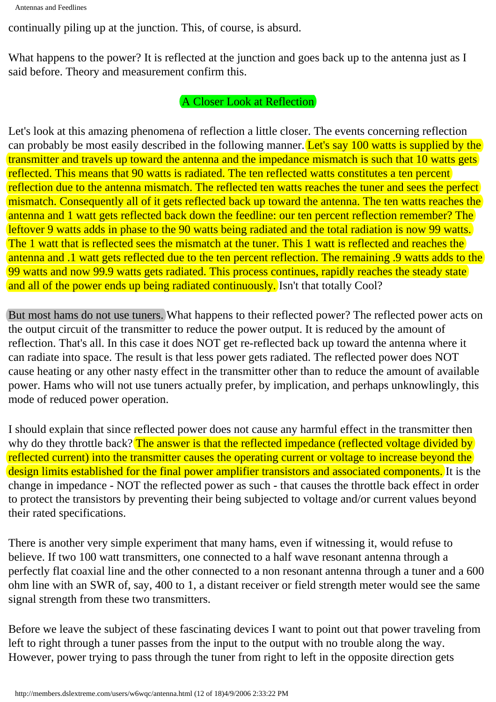```
Antennas and Feedlines
```
continually piling up at the junction. This, of course, is absurd.

What happens to the power? It is reflected at the junction and goes back up to the antenna just as I said before. Theory and measurement confirm this.

## A Closer Look at Reflection

Let's look at this amazing phenomena of reflection a little closer. The events concerning reflection can probably be most easily described in the following manner. Let's say 100 watts is supplied by the transmitter and travels up toward the antenna and the impedance mismatch is such that 10 watts gets reflected. This means that 90 watts is radiated. The ten reflected watts constitutes a ten percent reflection due to the antenna mismatch. The reflected ten watts reaches the tuner and sees the perfect mismatch. Consequently all of it gets reflected back up toward the antenna. The ten watts reaches the antenna and 1 watt gets reflected back down the feedline: our ten percent reflection remember? The leftover 9 watts adds in phase to the 90 watts being radiated and the total radiation is now 99 watts. The 1 watt that is reflected sees the mismatch at the tuner. This 1 watt is reflected and reaches the antenna and .1 watt gets reflected due to the ten percent reflection. The remaining .9 watts adds to the 99 watts and now 99.9 watts gets radiated. This process continues, rapidly reaches the steady state and all of the power ends up being radiated continuously. Isn't that totally Cool?

But most hams do not use tuners. What happens to their reflected power? The reflected power acts on the output circuit of the transmitter to reduce the power output. It is reduced by the amount of reflection. That's all. In this case it does NOT get re-reflected back up toward the antenna where it can radiate into space. The result is that less power gets radiated. The reflected power does NOT cause heating or any other nasty effect in the transmitter other than to reduce the amount of available power. Hams who will not use tuners actually prefer, by implication, and perhaps unknowlingly, this mode of reduced power operation.

I should explain that since reflected power does not cause any harmful effect in the transmitter then why do they throttle back? The answer is that the reflected impedance (reflected voltage divided by reflected current) into the transmitter causes the operating current or voltage to increase beyond the design limits established for the final power amplifier transistors and associated components. It is the change in impedance - NOT the reflected power as such - that causes the throttle back effect in order to protect the transistors by preventing their being subjected to voltage and/or current values beyond their rated specifications.

There is another very simple experiment that many hams, even if witnessing it, would refuse to believe. If two 100 watt transmitters, one connected to a half wave resonant antenna through a perfectly flat coaxial line and the other connected to a non resonant antenna through a tuner and a 600 ohm line with an SWR of, say, 400 to 1, a distant receiver or field strength meter would see the same signal strength from these two transmitters.

Before we leave the subject of these fascinating devices I want to point out that power traveling from left to right through a tuner passes from the input to the output with no trouble along the way. However, power trying to pass through the tuner from right to left in the opposite direction gets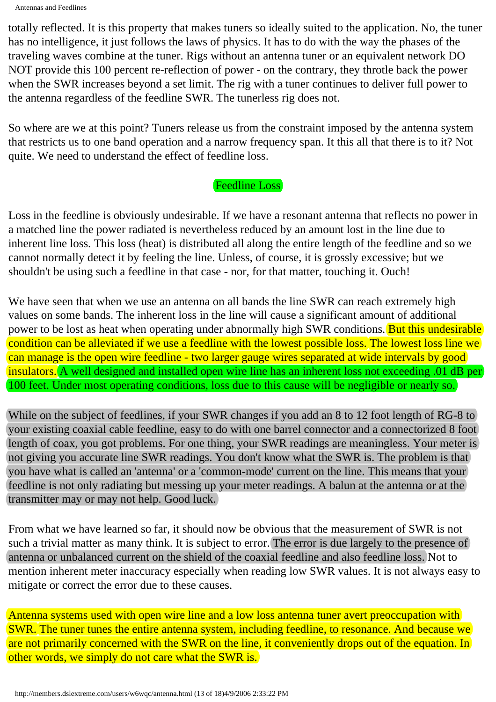Antennas and Feedlines

totally reflected. It is this property that makes tuners so ideally suited to the application. No, the tuner has no intelligence, it just follows the laws of physics. It has to do with the way the phases of the traveling waves combine at the tuner. Rigs without an antenna tuner or an equivalent network DO NOT provide this 100 percent re-reflection of power - on the contrary, they throtle back the power when the SWR increases beyond a set limit. The rig with a tuner continues to deliver full power to the antenna regardless of the feedline SWR. The tunerless rig does not.

So where are we at this point? Tuners release us from the constraint imposed by the antenna system that restricts us to one band operation and a narrow frequency span. It this all that there is to it? Not quite. We need to understand the effect of feedline loss.

## Feedline Loss

Loss in the feedline is obviously undesirable. If we have a resonant antenna that reflects no power in a matched line the power radiated is nevertheless reduced by an amount lost in the line due to inherent line loss. This loss (heat) is distributed all along the entire length of the feedline and so we cannot normally detect it by feeling the line. Unless, of course, it is grossly excessive; but we shouldn't be using such a feedline in that case - nor, for that matter, touching it. Ouch!

We have seen that when we use an antenna on all bands the line SWR can reach extremely high values on some bands. The inherent loss in the line will cause a significant amount of additional power to be lost as heat when operating under abnormally high SWR conditions. But this undesirable condition can be alleviated if we use a feedline with the lowest possible loss. The lowest loss line we can manage is the open wire feedline - two larger gauge wires separated at wide intervals by good insulators. A well designed and installed open wire line has an inherent loss not exceeding .01 dB per 100 feet. Under most operating conditions, loss due to this cause will be negligible or nearly so.

While on the subject of feedlines, if your SWR changes if you add an 8 to 12 foot length of RG-8 to your existing coaxial cable feedline, easy to do with one barrel connector and a connectorized 8 foot length of coax, you got problems. For one thing, your SWR readings are meaningless. Your meter is not giving you accurate line SWR readings. You don't know what the SWR is. The problem is that you have what is called an 'antenna' or a 'common-mode' current on the line. This means that your feedline is not only radiating but messing up your meter readings. A balun at the antenna or at the transmitter may or may not help. Good luck.

From what we have learned so far, it should now be obvious that the measurement of SWR is not such a trivial matter as many think. It is subject to error. The error is due largely to the presence of antenna or unbalanced current on the shield of the coaxial feedline and also feedline loss. Not to mention inherent meter inaccuracy especially when reading low SWR values. It is not always easy to mitigate or correct the error due to these causes.

Antenna systems used with open wire line and a low loss antenna tuner avert preoccupation with SWR. The tuner tunes the entire antenna system, including feedline, to resonance. And because we are not primarily concerned with the SWR on the line, it conveniently drops out of the equation. In other words, we simply do not care what the SWR is.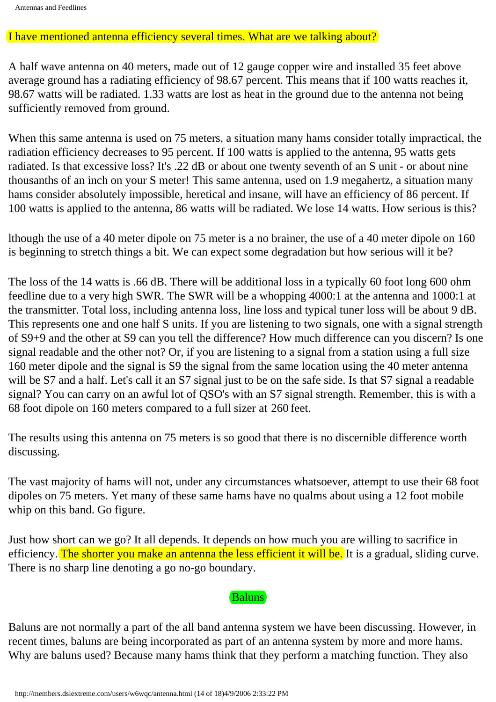#### I have mentioned antenna efficiency several times. What are we talking about?

A half wave antenna on 40 meters, made out of 12 gauge copper wire and installed 35 feet above average ground has a radiating efficiency of 98.67 percent. This means that if 100 watts reaches it, 98.67 watts will be radiated. 1.33 watts are lost as heat in the ground due to the antenna not being sufficiently removed from ground.

When this same antenna is used on 75 meters, a situation many hams consider totally impractical, the radiation efficiency decreases to 95 percent. If 100 watts is applied to the antenna, 95 watts gets radiated. Is that excessive loss? It's .22 dB or about one twenty seventh of an S unit - or about nine thousanths of an inch on your S meter! This same antenna, used on 1.9 megahertz, a situation many hams consider absolutely impossible, heretical and insane, will have an efficiency of 86 percent. If 100 watts is applied to the antenna, 86 watts will be radiated. We lose 14 watts. How serious is this?

lthough the use of a 40 meter dipole on 75 meter is a no brainer, the use of a 40 meter dipole on 160 is beginning to stretch things a bit. We can expect some degradation but how serious will it be?

The loss of the 14 watts is .66 dB. There will be additional loss in a typically 60 foot long 600 ohm feedline due to a very high SWR. The SWR will be a whopping 4000:1 at the antenna and 1000:1 at the transmitter. Total loss, including antenna loss, line loss and typical tuner loss will be about 9 dB. This represents one and one half S units. If you are listening to two signals, one with a signal strength of S9+9 and the other at S9 can you tell the difference? How much difference can you discern? Is one signal readable and the other not? Or, if you are listening to a signal from a station using a full size 160 meter dipole and the signal is S9 the signal from the same location using the 40 meter antenna will be S7 and a half. Let's call it an S7 signal just to be on the safe side. Is that S7 signal a readable signal? You can carry on an awful lot of QSO's with an S7 signal strength. Remember, this is with a 68 foot dipole on 160 meters compared to a full sizer at 260 feet.

The results using this antenna on 75 meters is so good that there is no discernible difference worth discussing.

The vast majority of hams will not, under any circumstances whatsoever, attempt to use their 68 foot dipoles on 75 meters. Yet many of these same hams have no qualms about using a 12 foot mobile whip on this band. Go figure.

Just how short can we go? It all depends. It depends on how much you are willing to sacrifice in efficiency. The shorter you make an antenna the less efficient it will be. It is a gradual, sliding curve. There is no sharp line denoting a go no-go boundary. 8 foot dipole on 160 meters compared to a full sizer at 260<br>the results using this antenna on 75 meters is so good that the<br>sussing.<br>the vast majority of hams will not, under any circumstances<br>ipoles on 75 meters. Yet many

#### Baluns

Baluns are not normally a part of the all band antenna system we have been discussing. However, in recent times, baluns are being incorporated as part of an antenna system by more and more hams. Why are baluns used? Because many hams think that they perform a matching function. They also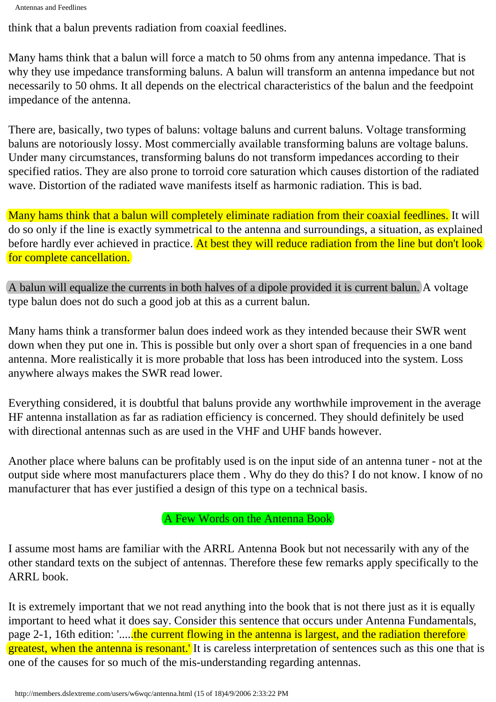```
Antennas and Feedlines
```
think that a balun prevents radiation from coaxial feedlines.

Many hams think that a balun will force a match to 50 ohms from any antenna impedance. That is why they use impedance transforming baluns. A balun will transform an antenna impedance but not necessarily to 50 ohms. It all depends on the electrical characteristics of the balun and the feedpoint impedance of the antenna.

There are, basically, two types of baluns: voltage baluns and current baluns. Voltage transforming baluns are notoriously lossy. Most commercially available transforming baluns are voltage baluns. Under many circumstances, transforming baluns do not transform impedances according to their specified ratios. They are also prone to torroid core saturation which causes distortion of the radiated wave. Distortion of the radiated wave manifests itself as harmonic radiation. This is bad.

Many hams think that a balun will completely eliminate radiation from their coaxial feedlines. It will do so only if the line is exactly symmetrical to the antenna and surroundings, a situation, as explained before hardly ever achieved in practice. At best they will reduce radiation from the line but don't look for complete cancellation.

A balun will equalize the currents in both halves of a dipole provided it is current balun. A voltage type balun does not do such a good job at this as a current balun.

Many hams think a transformer balun does indeed work as they intended because their SWR went down when they put one in. This is possible but only over a short span of frequencies in a one band antenna. More realistically it is more probable that loss has been introduced into the system. Loss anywhere always makes the SWR read lower.

Everything considered, it is doubtful that baluns provide any worthwhile improvement in the average HF antenna installation as far as radiation efficiency is concerned. They should definitely be used with directional antennas such as are used in the VHF and UHF bands however.

Another place where baluns can be profitably used is on the input side of an antenna tuner - not at the output side where most manufacturers place them . Why do they do this? I do not know. I know of no manufacturer that has ever justified a design of this type on a technical basis.

# A Few Words on the Antenna Book

I assume most hams are familiar with the ARRL Antenna Book but not necessarily with any of the other standard texts on the subject of antennas. Therefore these few remarks apply specifically to the ARRL book.

It is extremely important that we not read anything into the book that is not there just as it is equally important to heed what it does say. Consider this sentence that occurs under Antenna Fundamentals, page 2-1, 16th edition: '...., the current flowing in the antenna is largest, and the radiation therefore greatest, when the antenna is resonant. It is careless interpretation of sentences such as this one that is one of the causes for so much of the mis-understanding regarding antennas.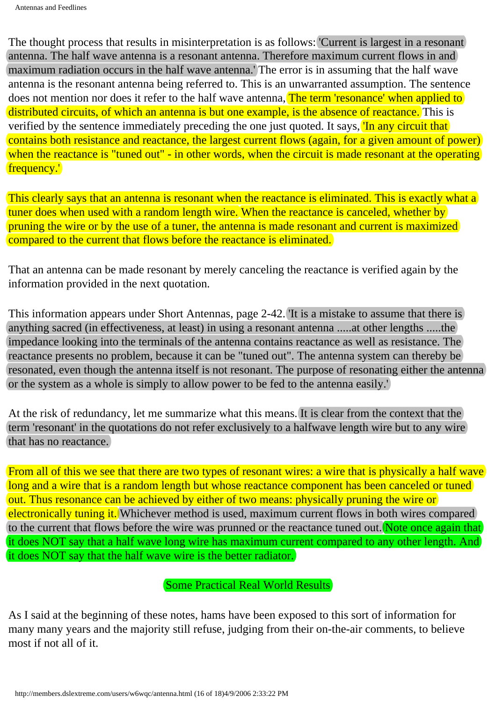The thought process that results in misinterpretation is as follows: 'Current is largest in a resonant) antenna. The half wave antenna is a resonant antenna. Therefore maximum current flows in and maximum radiation occurs in the half wave antenna.' The error is in assuming that the half wave antenna is the resonant antenna being referred to. This is an unwarranted assumption. The sentence does not mention nor does it refer to the half wave antenna, The term 'resonance' when applied to distributed circuits, of which an antenna is but one example, is the absence of reactance. This is verified by the sentence immediately preceding the one just quoted. It says, 'In any circuit that contains both resistance and reactance, the largest current flows (again, for a given amount of power) when the reactance is "tuned out" - in other words, when the circuit is made resonant at the operating frequency.'

This clearly says that an antenna is resonant when the reactance is eliminated. This is exactly what a tuner does when used with a random length wire. When the reactance is canceled, whether by pruning the wire or by the use of a tuner, the antenna is made resonant and current is maximized compared to the current that flows before the reactance is eliminated.

That an antenna can be made resonant by merely canceling the reactance is verified again by the information provided in the next quotation.

This information appears under Short Antennas, page 2-42. 'It is a mistake to assume that there is anything sacred (in effectiveness, at least) in using a resonant antenna .....at other lengths .....the impedance looking into the terminals of the antenna contains reactance as well as resistance. The reactance presents no problem, because it can be "tuned out". The antenna system can thereby be resonated, even though the antenna itself is not resonant. The purpose of resonating either the antenna or the system as a whole is simply to allow power to be fed to the antenna easily.'

At the risk of redundancy, let me summarize what this means. It is clear from the context that the term 'resonant' in the quotations do not refer exclusively to a halfwave length wire but to any wire that has no reactance.

From all of this we see that there are two types of resonant wires: a wire that is physically a half wave long and a wire that is a random length but whose reactance component has been canceled or tuned out. Thus resonance can be achieved by either of two means: physically pruning the wire or electronically tuning it. Whichever method is used, maximum current flows in both wires compared to the current that flows before the wire was prunned or the reactance tuned out. Note once again that it does NOT say that a half wave long wire has maximum current compared to any other length. And it does NOT say that the half wave wire is the better radiator.

Some Practical Real World Results

As I said at the beginning of these notes, hams have been exposed to this sort of information for many many years and the majority still refuse, judging from their on-the-air comments, to believe most if not all of it.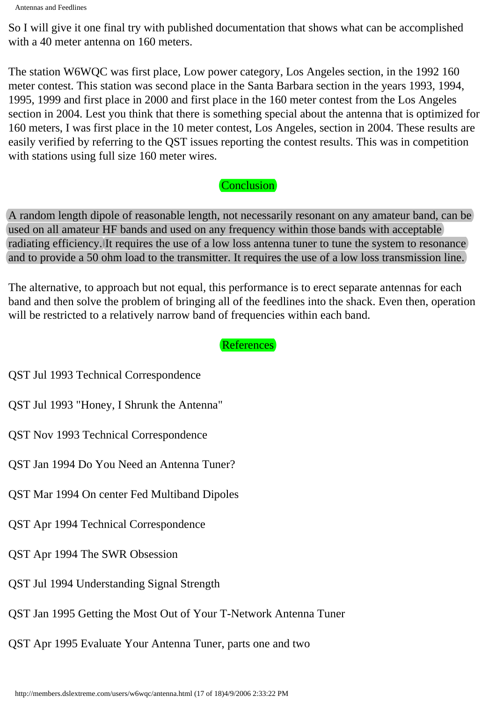Antennas and Feedlines

So I will give it one final try with published documentation that shows what can be accomplished with a 40 meter antenna on 160 meters.

The station W6WQC was first place, Low power category, Los Angeles section, in the 1992 160 meter contest. This station was second place in the Santa Barbara section in the years 1993, 1994, 1995, 1999 and first place in 2000 and first place in the 160 meter contest from the Los Angeles section in 2004. Lest you think that there is something special about the antenna that is optimized for 160 meters, I was first place in the 10 meter contest, Los Angeles, section in 2004. These results are easily verified by referring to the QST issues reporting the contest results. This was in competition with stations using full size 160 meter wires.

## Conclusion

A random length dipole of reasonable length, not necessarily resonant on any amateur band, can be used on all amateur HF bands and used on any frequency within those bands with acceptable radiating efficiency. It requires the use of a low loss antenna tuner to tune the system to resonance and to provide a 50 ohm load to the transmitter. It requires the use of a low loss transmission line.

The alternative, to approach but not equal, this performance is to erect separate antennas for each band and then solve the problem of bringing all of the feedlines into the shack. Even then, operation will be restricted to a relatively narrow band of frequencies within each band.

# References

QST Jul 1993 Technical Correspondence

QST Jul 1993 "Honey, I Shrunk the Antenna"

QST Nov 1993 Technical Correspondence

QST Jan 1994 Do You Need an Antenna Tuner?

QST Mar 1994 On center Fed Multiband Dipoles

QST Apr 1994 Technical Correspondence

QST Apr 1994 The SWR Obsession

QST Jul 1994 Understanding Signal Strength

QST Jan 1995 Getting the Most Out of Your T-Network Antenna Tuner

QST Apr 1995 Evaluate Your Antenna Tuner, parts one and two